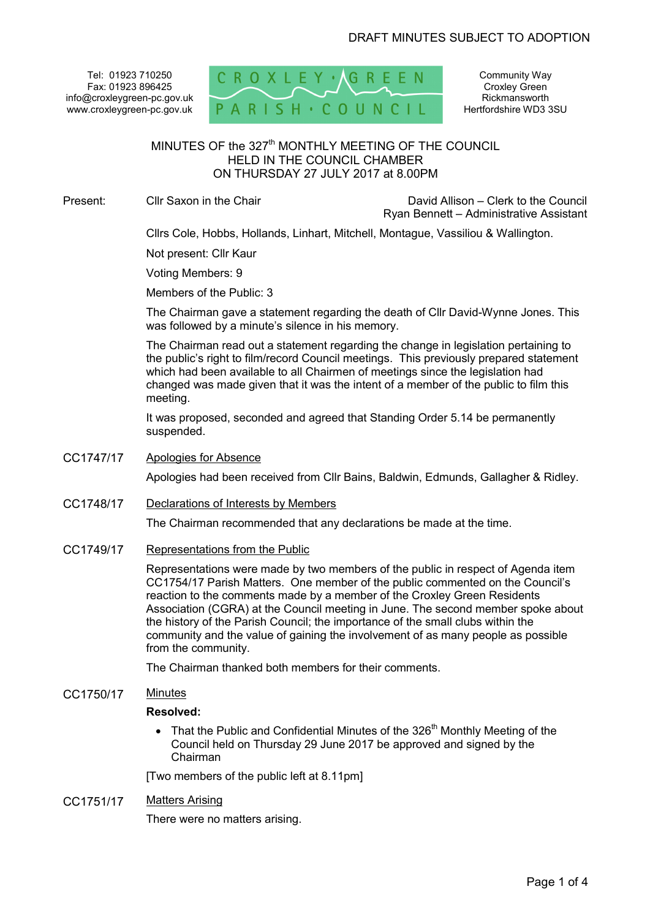Tel: 01923 710250 Fax: 01923 896425 info@croxleygreen-pc.gov.uk www.croxleygreen-pc.gov.uk



Community Way Croxley Green **Rickmansworth** Hertfordshire WD3 3SU

# MINUTES OF the 327<sup>th</sup> MONTHLY MEETING OF THE COUNCIL HELD IN THE COUNCIL CHAMBER ON THURSDAY 27 JULY 2017 at 8.00PM

Present: Cllr Saxon in the Chair David Allison – Clerk to the Council Ryan Bennett – Administrative Assistant

Cllrs Cole, Hobbs, Hollands, Linhart, Mitchell, Montague, Vassiliou & Wallington.

Not present: Cllr Kaur

Voting Members: 9

Members of the Public: 3

The Chairman gave a statement regarding the death of Cllr David-Wynne Jones. This was followed by a minute's silence in his memory.

The Chairman read out a statement regarding the change in legislation pertaining to the public's right to film/record Council meetings. This previously prepared statement which had been available to all Chairmen of meetings since the legislation had changed was made given that it was the intent of a member of the public to film this meeting.

It was proposed, seconded and agreed that Standing Order 5.14 be permanently suspended.

CC1747/17 Apologies for Absence

Apologies had been received from Cllr Bains, Baldwin, Edmunds, Gallagher & Ridley.

CC1748/17 Declarations of Interests by Members

The Chairman recommended that any declarations be made at the time.

CC1749/17 Representations from the Public

Representations were made by two members of the public in respect of Agenda item CC1754/17 Parish Matters. One member of the public commented on the Council's reaction to the comments made by a member of the Croxley Green Residents Association (CGRA) at the Council meeting in June. The second member spoke about the history of the Parish Council; the importance of the small clubs within the community and the value of gaining the involvement of as many people as possible from the community.

The Chairman thanked both members for their comments.

CC1750/17 Minutes

#### **Resolved:**

 $\bullet$  That the Public and Confidential Minutes of the 326<sup>th</sup> Monthly Meeting of the Council held on Thursday 29 June 2017 be approved and signed by the Chairman

[Two members of the public left at 8.11pm]

CC1751/17 Matters Arising

There were no matters arising.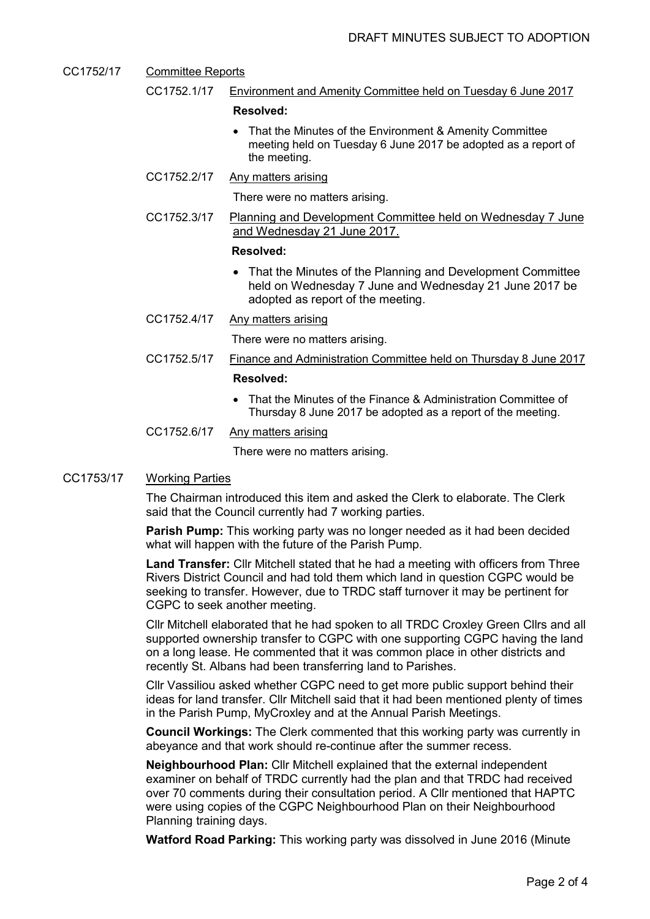- CC1752/17 Committee Reports CC1752.1/17 Environment and Amenity Committee held on Tuesday 6 June 2017 **Resolved:**  • That the Minutes of the Environment & Amenity Committee
	- meeting held on Tuesday 6 June 2017 be adopted as a report of the meeting.
	- CC1752.2/17 Any matters arising

There were no matters arising.

CC1752.3/17 Planning and Development Committee held on Wednesday 7 June and Wednesday 21 June 2017.

#### **Resolved:**

- That the Minutes of the Planning and Development Committee held on Wednesday 7 June and Wednesday 21 June 2017 be adopted as report of the meeting.
- CC1752.4/17 Any matters arising

There were no matters arising.

CC1752.5/17 Finance and Administration Committee held on Thursday 8 June 2017

### **Resolved:**

- That the Minutes of the Finance & Administration Committee of Thursday 8 June 2017 be adopted as a report of the meeting.
- CC1752.6/17 Any matters arising

There were no matters arising.

#### CC1753/17 Working Parties

The Chairman introduced this item and asked the Clerk to elaborate. The Clerk said that the Council currently had 7 working parties.

**Parish Pump:** This working party was no longer needed as it had been decided what will happen with the future of the Parish Pump.

**Land Transfer:** Cllr Mitchell stated that he had a meeting with officers from Three Rivers District Council and had told them which land in question CGPC would be seeking to transfer. However, due to TRDC staff turnover it may be pertinent for CGPC to seek another meeting.

Cllr Mitchell elaborated that he had spoken to all TRDC Croxley Green Cllrs and all supported ownership transfer to CGPC with one supporting CGPC having the land on a long lease. He commented that it was common place in other districts and recently St. Albans had been transferring land to Parishes.

Cllr Vassiliou asked whether CGPC need to get more public support behind their ideas for land transfer. Cllr Mitchell said that it had been mentioned plenty of times in the Parish Pump, MyCroxley and at the Annual Parish Meetings.

**Council Workings:** The Clerk commented that this working party was currently in abeyance and that work should re-continue after the summer recess.

**Neighbourhood Plan:** Cllr Mitchell explained that the external independent examiner on behalf of TRDC currently had the plan and that TRDC had received over 70 comments during their consultation period. A Cllr mentioned that HAPTC were using copies of the CGPC Neighbourhood Plan on their Neighbourhood Planning training days.

**Watford Road Parking:** This working party was dissolved in June 2016 (Minute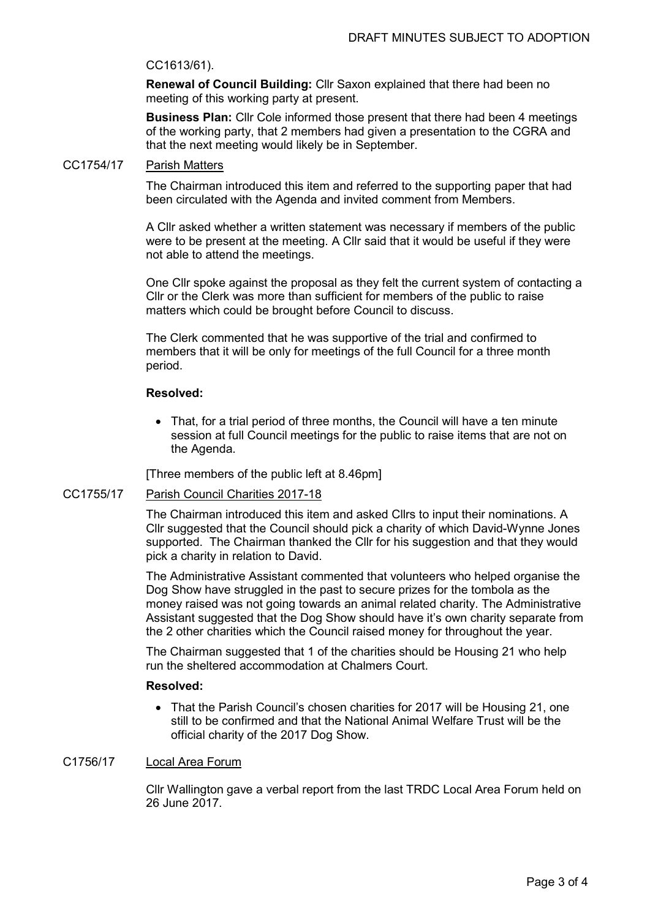## CC1613/61).

**Renewal of Council Building:** Cllr Saxon explained that there had been no meeting of this working party at present.

**Business Plan:** Cllr Cole informed those present that there had been 4 meetings of the working party, that 2 members had given a presentation to the CGRA and that the next meeting would likely be in September.

## CC1754/17 Parish Matters

The Chairman introduced this item and referred to the supporting paper that had been circulated with the Agenda and invited comment from Members.

A Cllr asked whether a written statement was necessary if members of the public were to be present at the meeting. A Cllr said that it would be useful if they were not able to attend the meetings.

One Cllr spoke against the proposal as they felt the current system of contacting a Cllr or the Clerk was more than sufficient for members of the public to raise matters which could be brought before Council to discuss.

The Clerk commented that he was supportive of the trial and confirmed to members that it will be only for meetings of the full Council for a three month period.

#### **Resolved:**

• That, for a trial period of three months, the Council will have a ten minute session at full Council meetings for the public to raise items that are not on the Agenda.

[Three members of the public left at 8.46pm]

#### CC1755/17 Parish Council Charities 2017-18

The Chairman introduced this item and asked Cllrs to input their nominations. A Cllr suggested that the Council should pick a charity of which David-Wynne Jones supported. The Chairman thanked the Cllr for his suggestion and that they would pick a charity in relation to David.

The Administrative Assistant commented that volunteers who helped organise the Dog Show have struggled in the past to secure prizes for the tombola as the money raised was not going towards an animal related charity. The Administrative Assistant suggested that the Dog Show should have it's own charity separate from the 2 other charities which the Council raised money for throughout the year.

The Chairman suggested that 1 of the charities should be Housing 21 who help run the sheltered accommodation at Chalmers Court.

## **Resolved:**

• That the Parish Council's chosen charities for 2017 will be Housing 21, one still to be confirmed and that the National Animal Welfare Trust will be the official charity of the 2017 Dog Show.

## C1756/17 Local Area Forum

Cllr Wallington gave a verbal report from the last TRDC Local Area Forum held on 26 June 2017.